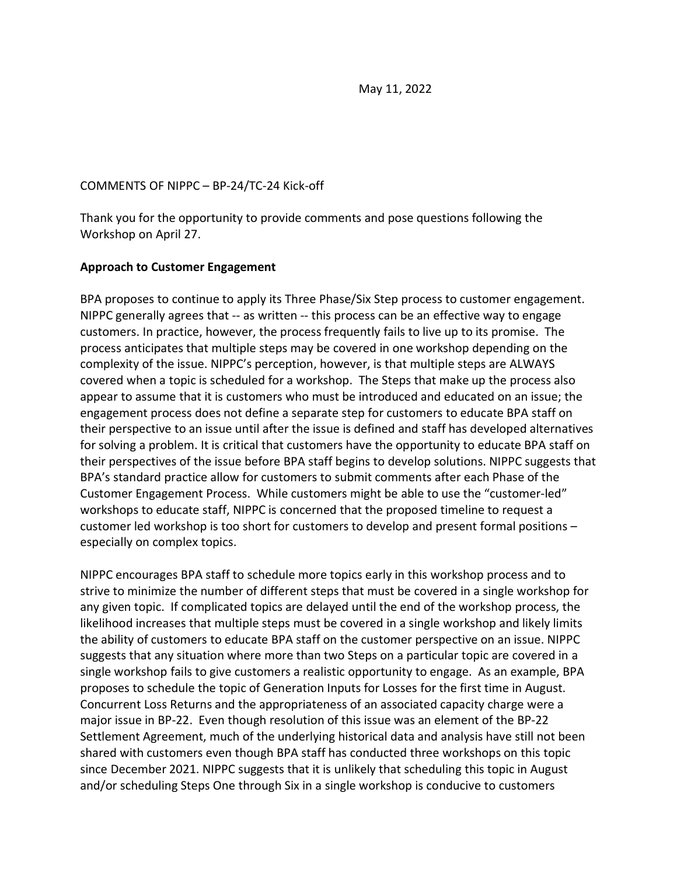May 11, 2022

#### COMMENTS OF NIPPC – BP-24/TC-24 Kick-off

Thank you for the opportunity to provide comments and pose questions following the Workshop on April 27.

## **Approach to Customer Engagement**

BPA proposes to continue to apply its Three Phase/Six Step process to customer engagement. NIPPC generally agrees that -- as written -- this process can be an effective way to engage customers. In practice, however, the process frequently fails to live up to its promise. The process anticipates that multiple steps may be covered in one workshop depending on the complexity of the issue. NIPPC's perception, however, is that multiple steps are ALWAYS covered when a topic is scheduled for a workshop. The Steps that make up the process also appear to assume that it is customers who must be introduced and educated on an issue; the engagement process does not define a separate step for customers to educate BPA staff on their perspective to an issue until after the issue is defined and staff has developed alternatives for solving a problem. It is critical that customers have the opportunity to educate BPA staff on their perspectives of the issue before BPA staff begins to develop solutions. NIPPC suggests that BPA's standard practice allow for customers to submit comments after each Phase of the Customer Engagement Process. While customers might be able to use the "customer-led" workshops to educate staff, NIPPC is concerned that the proposed timeline to request a customer led workshop is too short for customers to develop and present formal positions – especially on complex topics.

NIPPC encourages BPA staff to schedule more topics early in this workshop process and to strive to minimize the number of different steps that must be covered in a single workshop for any given topic. If complicated topics are delayed until the end of the workshop process, the likelihood increases that multiple steps must be covered in a single workshop and likely limits the ability of customers to educate BPA staff on the customer perspective on an issue. NIPPC suggests that any situation where more than two Steps on a particular topic are covered in a single workshop fails to give customers a realistic opportunity to engage. As an example, BPA proposes to schedule the topic of Generation Inputs for Losses for the first time in August. Concurrent Loss Returns and the appropriateness of an associated capacity charge were a major issue in BP-22. Even though resolution of this issue was an element of the BP-22 Settlement Agreement, much of the underlying historical data and analysis have still not been shared with customers even though BPA staff has conducted three workshops on this topic since December 2021. NIPPC suggests that it is unlikely that scheduling this topic in August and/or scheduling Steps One through Six in a single workshop is conducive to customers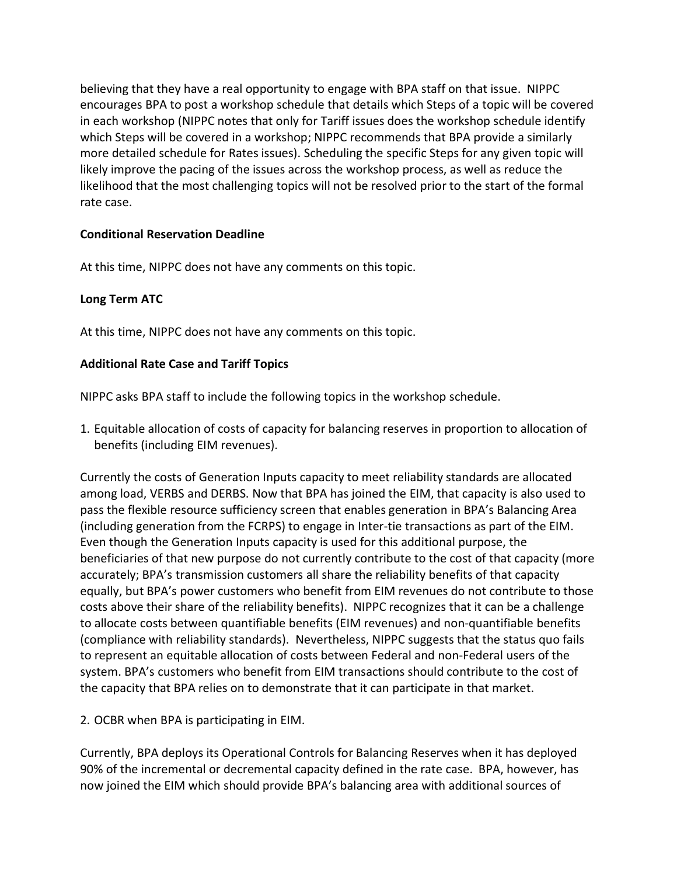believing that they have a real opportunity to engage with BPA staff on that issue. NIPPC encourages BPA to post a workshop schedule that details which Steps of a topic will be covered in each workshop (NIPPC notes that only for Tariff issues does the workshop schedule identify which Steps will be covered in a workshop; NIPPC recommends that BPA provide a similarly more detailed schedule for Rates issues). Scheduling the specific Steps for any given topic will likely improve the pacing of the issues across the workshop process, as well as reduce the likelihood that the most challenging topics will not be resolved prior to the start of the formal rate case.

# **Conditional Reservation Deadline**

At this time, NIPPC does not have any comments on this topic.

## **Long Term ATC**

At this time, NIPPC does not have any comments on this topic.

## **Additional Rate Case and Tariff Topics**

NIPPC asks BPA staff to include the following topics in the workshop schedule.

1. Equitable allocation of costs of capacity for balancing reserves in proportion to allocation of benefits (including EIM revenues).

Currently the costs of Generation Inputs capacity to meet reliability standards are allocated among load, VERBS and DERBS. Now that BPA has joined the EIM, that capacity is also used to pass the flexible resource sufficiency screen that enables generation in BPA's Balancing Area (including generation from the FCRPS) to engage in Inter-tie transactions as part of the EIM. Even though the Generation Inputs capacity is used for this additional purpose, the beneficiaries of that new purpose do not currently contribute to the cost of that capacity (more accurately; BPA's transmission customers all share the reliability benefits of that capacity equally, but BPA's power customers who benefit from EIM revenues do not contribute to those costs above their share of the reliability benefits). NIPPC recognizes that it can be a challenge to allocate costs between quantifiable benefits (EIM revenues) and non-quantifiable benefits (compliance with reliability standards). Nevertheless, NIPPC suggests that the status quo fails to represent an equitable allocation of costs between Federal and non-Federal users of the system. BPA's customers who benefit from EIM transactions should contribute to the cost of the capacity that BPA relies on to demonstrate that it can participate in that market.

2. OCBR when BPA is participating in EIM.

Currently, BPA deploys its Operational Controls for Balancing Reserves when it has deployed 90% of the incremental or decremental capacity defined in the rate case. BPA, however, has now joined the EIM which should provide BPA's balancing area with additional sources of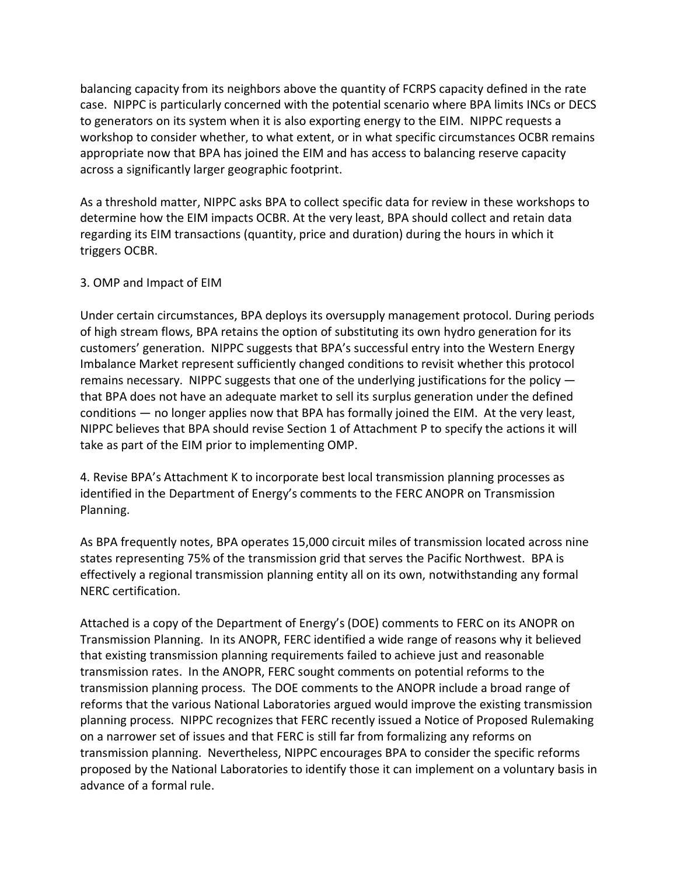balancing capacity from its neighbors above the quantity of FCRPS capacity defined in the rate case. NIPPC is particularly concerned with the potential scenario where BPA limits INCs or DECS to generators on its system when it is also exporting energy to the EIM. NIPPC requests a workshop to consider whether, to what extent, or in what specific circumstances OCBR remains appropriate now that BPA has joined the EIM and has access to balancing reserve capacity across a significantly larger geographic footprint.

As a threshold matter, NIPPC asks BPA to collect specific data for review in these workshops to determine how the EIM impacts OCBR. At the very least, BPA should collect and retain data regarding its EIM transactions (quantity, price and duration) during the hours in which it triggers OCBR.

## 3. OMP and Impact of EIM

Under certain circumstances, BPA deploys its oversupply management protocol. During periods of high stream flows, BPA retains the option of substituting its own hydro generation for its customers' generation. NIPPC suggests that BPA's successful entry into the Western Energy Imbalance Market represent sufficiently changed conditions to revisit whether this protocol remains necessary. NIPPC suggests that one of the underlying justifications for the policy that BPA does not have an adequate market to sell its surplus generation under the defined conditions — no longer applies now that BPA has formally joined the EIM. At the very least, NIPPC believes that BPA should revise Section 1 of Attachment P to specify the actions it will take as part of the EIM prior to implementing OMP.

4. Revise BPA's Attachment K to incorporate best local transmission planning processes as identified in the Department of Energy's comments to the FERC ANOPR on Transmission Planning.

As BPA frequently notes, BPA operates 15,000 circuit miles of transmission located across nine states representing 75% of the transmission grid that serves the Pacific Northwest. BPA is effectively a regional transmission planning entity all on its own, notwithstanding any formal NERC certification.

Attached is a copy of the Department of Energy's (DOE) comments to FERC on its ANOPR on Transmission Planning. In its ANOPR, FERC identified a wide range of reasons why it believed that existing transmission planning requirements failed to achieve just and reasonable transmission rates. In the ANOPR, FERC sought comments on potential reforms to the transmission planning process. The DOE comments to the ANOPR include a broad range of reforms that the various National Laboratories argued would improve the existing transmission planning process. NIPPC recognizes that FERC recently issued a Notice of Proposed Rulemaking on a narrower set of issues and that FERC is still far from formalizing any reforms on transmission planning. Nevertheless, NIPPC encourages BPA to consider the specific reforms proposed by the National Laboratories to identify those it can implement on a voluntary basis in advance of a formal rule.